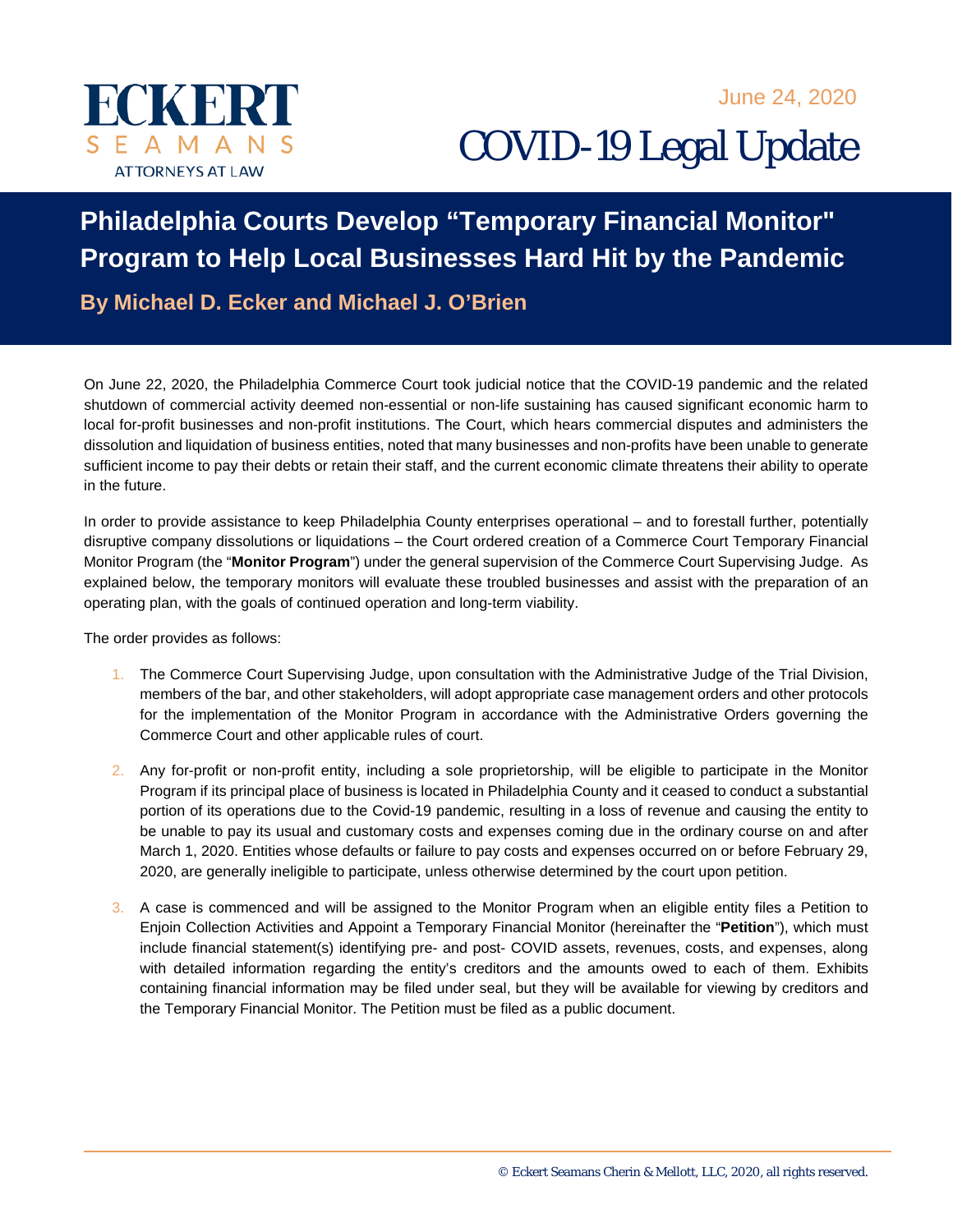



COVID-19 Legal Update

## **Philadelphia Courts Develop "Temporary Financial Monitor" Program to Help Local Businesses Hard Hit by the Pandemic**

**By Michael D. Ecker and Michael J. O'Brien** 

On June 22, 2020, the Philadelphia Commerce Court took judicial notice that the COVID-19 pandemic and the related shutdown of commercial activity deemed non-essential or non-life sustaining has caused significant economic harm to local for-profit businesses and non-profit institutions. The Court, which hears commercial disputes and administers the dissolution and liquidation of business entities, noted that many businesses and non-profits have been unable to generate sufficient income to pay their debts or retain their staff, and the current economic climate threatens their ability to operate in the future.

In order to provide assistance to keep Philadelphia County enterprises operational – and to forestall further, potentially disruptive company dissolutions or liquidations – the Court ordered creation of a Commerce Court Temporary Financial Monitor Program (the "**Monitor Program**") under the general supervision of the Commerce Court Supervising Judge. As explained below, the temporary monitors will evaluate these troubled businesses and assist with the preparation of an operating plan, with the goals of continued operation and long-term viability.

The order provides as follows:

- 1. The Commerce Court Supervising Judge, upon consultation with the Administrative Judge of the Trial Division, members of the bar, and other stakeholders, will adopt appropriate case management orders and other protocols for the implementation of the Monitor Program in accordance with the Administrative Orders governing the Commerce Court and other applicable rules of court.
- 2. Any for-profit or non-profit entity, including a sole proprietorship, will be eligible to participate in the Monitor Program if its principal place of business is located in Philadelphia County and it ceased to conduct a substantial portion of its operations due to the Covid-19 pandemic, resulting in a loss of revenue and causing the entity to be unable to pay its usual and customary costs and expenses coming due in the ordinary course on and after March 1, 2020. Entities whose defaults or failure to pay costs and expenses occurred on or before February 29, 2020, are generally ineligible to participate, unless otherwise determined by the court upon petition.
- 3. A case is commenced and will be assigned to the Monitor Program when an eligible entity files a Petition to Enjoin Collection Activities and Appoint a Temporary Financial Monitor (hereinafter the "**Petition**"), which must include financial statement(s) identifying pre- and post- COVID assets, revenues, costs, and expenses, along with detailed information regarding the entity's creditors and the amounts owed to each of them. Exhibits containing financial information may be filed under seal, but they will be available for viewing by creditors and the Temporary Financial Monitor. The Petition must be filed as a public document.